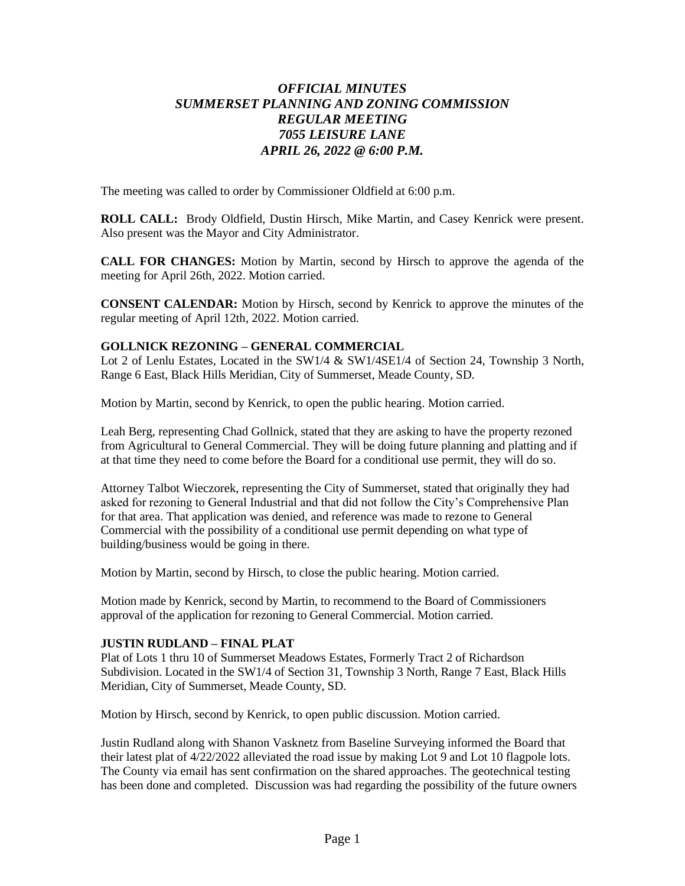# *OFFICIAL MINUTES SUMMERSET PLANNING AND ZONING COMMISSION REGULAR MEETING 7055 LEISURE LANE APRIL 26, 2022 @ 6:00 P.M.*

The meeting was called to order by Commissioner Oldfield at 6:00 p.m.

**ROLL CALL:** Brody Oldfield, Dustin Hirsch, Mike Martin, and Casey Kenrick were present. Also present was the Mayor and City Administrator.

**CALL FOR CHANGES:** Motion by Martin, second by Hirsch to approve the agenda of the meeting for April 26th, 2022. Motion carried.

**CONSENT CALENDAR:** Motion by Hirsch, second by Kenrick to approve the minutes of the regular meeting of April 12th, 2022. Motion carried.

#### **GOLLNICK REZONING – GENERAL COMMERCIAL**

Lot 2 of Lenlu Estates, Located in the SW1/4 & SW1/4SE1/4 of Section 24, Township 3 North, Range 6 East, Black Hills Meridian, City of Summerset, Meade County, SD.

Motion by Martin, second by Kenrick, to open the public hearing. Motion carried.

Leah Berg, representing Chad Gollnick, stated that they are asking to have the property rezoned from Agricultural to General Commercial. They will be doing future planning and platting and if at that time they need to come before the Board for a conditional use permit, they will do so.

Attorney Talbot Wieczorek, representing the City of Summerset, stated that originally they had asked for rezoning to General Industrial and that did not follow the City's Comprehensive Plan for that area. That application was denied, and reference was made to rezone to General Commercial with the possibility of a conditional use permit depending on what type of building/business would be going in there.

Motion by Martin, second by Hirsch, to close the public hearing. Motion carried.

Motion made by Kenrick, second by Martin, to recommend to the Board of Commissioners approval of the application for rezoning to General Commercial. Motion carried.

#### **JUSTIN RUDLAND – FINAL PLAT**

Plat of Lots 1 thru 10 of Summerset Meadows Estates, Formerly Tract 2 of Richardson Subdivision. Located in the SW1/4 of Section 31, Township 3 North, Range 7 East, Black Hills Meridian, City of Summerset, Meade County, SD.

Motion by Hirsch, second by Kenrick, to open public discussion. Motion carried.

Justin Rudland along with Shanon Vasknetz from Baseline Surveying informed the Board that their latest plat of 4/22/2022 alleviated the road issue by making Lot 9 and Lot 10 flagpole lots. The County via email has sent confirmation on the shared approaches. The geotechnical testing has been done and completed. Discussion was had regarding the possibility of the future owners